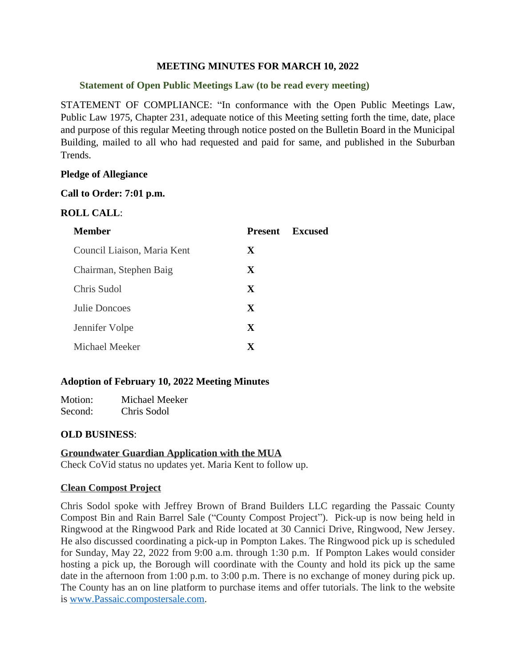### **MEETING MINUTES FOR MARCH 10, 2022**

## **Statement of Open Public Meetings Law (to be read every meeting)**

STATEMENT OF COMPLIANCE: "In conformance with the Open Public Meetings Law, Public Law 1975, Chapter 231, adequate notice of this Meeting setting forth the time, date, place and purpose of this regular Meeting through notice posted on the Bulletin Board in the Municipal Building, mailed to all who had requested and paid for same, and published in the Suburban Trends.

## **Pledge of Allegiance**

## **Call to Order: 7:01 p.m.**

## **ROLL CALL**:

| <b>Member</b>               | Present      | Excused |
|-----------------------------|--------------|---------|
| Council Liaison, Maria Kent | X            |         |
| Chairman, Stephen Baig      | X            |         |
| Chris Sudol                 | $\mathbf{x}$ |         |
| Julie Doncoes               | $\mathbf{x}$ |         |
| Jennifer Volpe              | X            |         |
| Michael Meeker              | $\mathbf x$  |         |

## **Adoption of February 10, 2022 Meeting Minutes**

Motion: Michael Meeker Second: Chris Sodol

## **OLD BUSINESS**:

### **Groundwater Guardian Application with the MUA** Check CoVid status no updates yet. Maria Kent to follow up.

### **Clean Compost Project**

Chris Sodol spoke with Jeffrey Brown of Brand Builders LLC regarding the Passaic County Compost Bin and Rain Barrel Sale ("County Compost Project"). Pick-up is now being held in Ringwood at the Ringwood Park and Ride located at 30 Cannici Drive, Ringwood, New Jersey. He also discussed coordinating a pick-up in Pompton Lakes. The Ringwood pick up is scheduled for Sunday, May 22, 2022 from 9:00 a.m. through 1:30 p.m. If Pompton Lakes would consider hosting a pick up, the Borough will coordinate with the County and hold its pick up the same date in the afternoon from 1:00 p.m. to 3:00 p.m. There is no exchange of money during pick up. The County has an on line platform to purchase items and offer tutorials. The link to the website is [www.Passaic.compostersale.com.](http://www.Passaic.compostersale.com)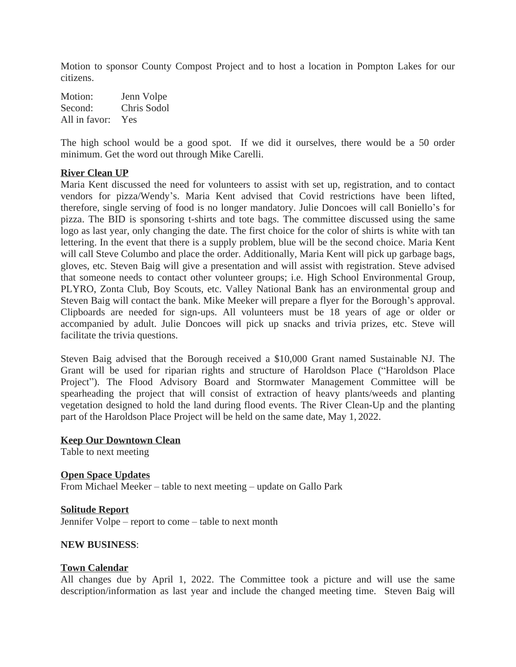Motion to sponsor County Compost Project and to host a location in Pompton Lakes for our citizens.

Motion: Jenn Volpe Second: Chris Sodol All in favor: Yes

The high school would be a good spot. If we did it ourselves, there would be a 50 order minimum. Get the word out through Mike Carelli.

### **River Clean UP**

Maria Kent discussed the need for volunteers to assist with set up, registration, and to contact vendors for pizza/Wendy's. Maria Kent advised that Covid restrictions have been lifted, therefore, single serving of food is no longer mandatory. Julie Doncoes will call Boniello's for pizza. The BID is sponsoring t-shirts and tote bags. The committee discussed using the same logo as last year, only changing the date. The first choice for the color of shirts is white with tan lettering. In the event that there is a supply problem, blue will be the second choice. Maria Kent will call Steve Columbo and place the order. Additionally, Maria Kent will pick up garbage bags, gloves, etc. Steven Baig will give a presentation and will assist with registration. Steve advised that someone needs to contact other volunteer groups; i.e. High School Environmental Group, PLYRO, Zonta Club, Boy Scouts, etc. Valley National Bank has an environmental group and Steven Baig will contact the bank. Mike Meeker will prepare a flyer for the Borough's approval. Clipboards are needed for sign-ups. All volunteers must be 18 years of age or older or accompanied by adult. Julie Doncoes will pick up snacks and trivia prizes, etc. Steve will facilitate the trivia questions.

Steven Baig advised that the Borough received a \$10,000 Grant named Sustainable NJ. The Grant will be used for riparian rights and structure of Haroldson Place ("Haroldson Place Project"). The Flood Advisory Board and Stormwater Management Committee will be spearheading the project that will consist of extraction of heavy plants/weeds and planting vegetation designed to hold the land during flood events. The River Clean-Up and the planting part of the Haroldson Place Project will be held on the same date, May 1, 2022.

#### **Keep Our Downtown Clean**

Table to next meeting

## **Open Space Updates**

From Michael Meeker – table to next meeting – update on Gallo Park

## **Solitude Report** Jennifer Volpe – report to come – table to next month

### **NEW BUSINESS**:

### **Town Calendar**

All changes due by April 1, 2022. The Committee took a picture and will use the same description/information as last year and include the changed meeting time. Steven Baig will